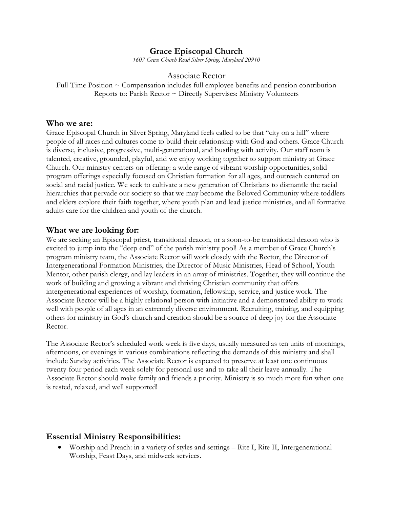## **Grace Episcopal Church**

*1607 Grace Church Road Silver Spring, Maryland 20910*

#### Associate Rector

Full-Time Position  $\sim$  Compensation includes full employee benefits and pension contribution Reports to: Parish Rector ~ Directly Supervises: Ministry Volunteers

#### **Who we are:**

Grace Episcopal Church in Silver Spring, Maryland feels called to be that "city on a hill" where people of all races and cultures come to build their relationship with God and others. Grace Church is diverse, inclusive, progressive, multi-generational, and bustling with activity. Our staff team is talented, creative, grounded, playful, and we enjoy working together to support ministry at Grace Church. Our ministry centers on offering: a wide range of vibrant worship opportunities, solid program offerings especially focused on Christian formation for all ages, and outreach centered on social and racial justice. We seek to cultivate a new generation of Christians to dismantle the racial hierarchies that pervade our society so that we may become the Beloved Community where toddlers and elders explore their faith together, where youth plan and lead justice ministries, and all formative adults care for the children and youth of the church.

### **What we are looking for:**

We are seeking an Episcopal priest, transitional deacon, or a soon-to-be transitional deacon who is excited to jump into the "deep end" of the parish ministry pool! As a member of Grace Church's program ministry team, the Associate Rector will work closely with the Rector, the Director of Intergenerational Formation Ministries, the Director of Music Ministries, Head of School, Youth Mentor, other parish clergy, and lay leaders in an array of ministries. Together, they will continue the work of building and growing a vibrant and thriving Christian community that offers intergenerational experiences of worship, formation, fellowship, service, and justice work. The Associate Rector will be a highly relational person with initiative and a demonstrated ability to work well with people of all ages in an extremely diverse environment. Recruiting, training, and equipping others for ministry in God's church and creation should be a source of deep joy for the Associate Rector.

The Associate Rector's scheduled work week is five days, usually measured as ten units of mornings, afternoons, or evenings in various combinations reflecting the demands of this ministry and shall include Sunday activities. The Associate Rector is expected to preserve at least one continuous twenty-four period each week solely for personal use and to take all their leave annually. The Associate Rector should make family and friends a priority. Ministry is so much more fun when one is rested, relaxed, and well supported!

## **Essential Ministry Responsibilities:**

• Worship and Preach: in a variety of styles and settings – Rite I, Rite II, Intergenerational Worship, Feast Days, and midweek services.